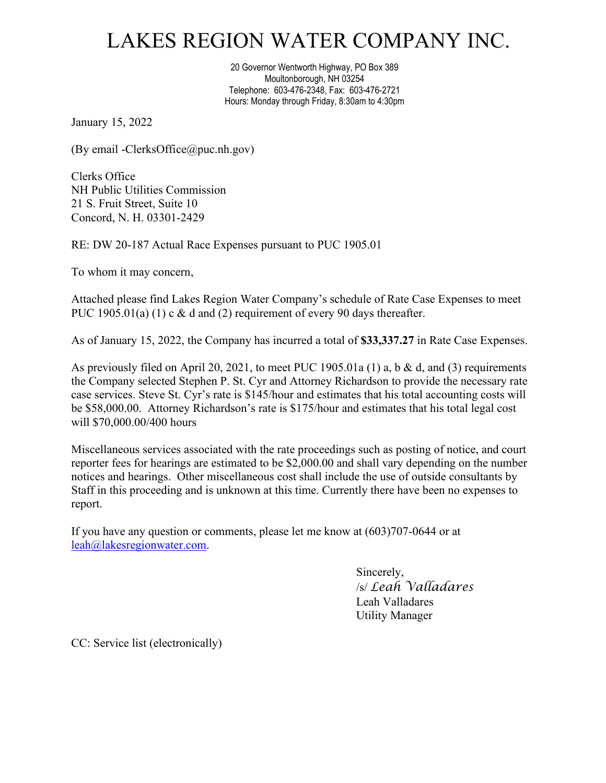## LAKES REGION WATER COMPANY INC.

20 Governor Wentworth Highway, PO Box 389 Moultonborough, NH 03254 Telephone: 603-476-2348, Fax: 603-476-2721 Hours: Monday through Friday, 8:30am to 4:30pm

January 15, 2022

(By email -ClerksOffice@puc.nh.gov)

Clerks Office NH Public Utilities Commission 21 S. Fruit Street, Suite 10 Concord, N. H. 03301-2429

RE: DW 20-187 Actual Race Expenses pursuant to PUC 1905.01

To whom it may concern,

Attached please find Lakes Region Water Company's schedule of Rate Case Expenses to meet PUC 1905.01(a) (1) c & d and (2) requirement of every 90 days thereafter.

As of January 15, 2022, the Company has incurred a total of **\$33,337.27** in Rate Case Expenses.

As previously filed on April 20, 2021, to meet PUC 1905.01a (1) a, b & d, and (3) requirements the Company selected Stephen P. St. Cyr and Attorney Richardson to provide the necessary rate case services. Steve St. Cyr's rate is \$145/hour and estimates that his total accounting costs will be \$58,000.00. Attorney Richardson's rate is \$175/hour and estimates that his total legal cost will \$70,000.00/400 hours

Miscellaneous services associated with the rate proceedings such as posting of notice, and court reporter fees for hearings are estimated to be \$2,000.00 and shall vary depending on the number notices and hearings. Other miscellaneous cost shall include the use of outside consultants by Staff in this proceeding and is unknown at this time. Currently there have been no expenses to report.

If you have any question or comments, please let me know at (603)707-0644 or at [leah@lakesregionwater.com.](mailto:leah@lakesregionwater.com)

> Sincerely, /s/ *Leah Valladares* Leah Valladares Utility Manager

CC: Service list (electronically)